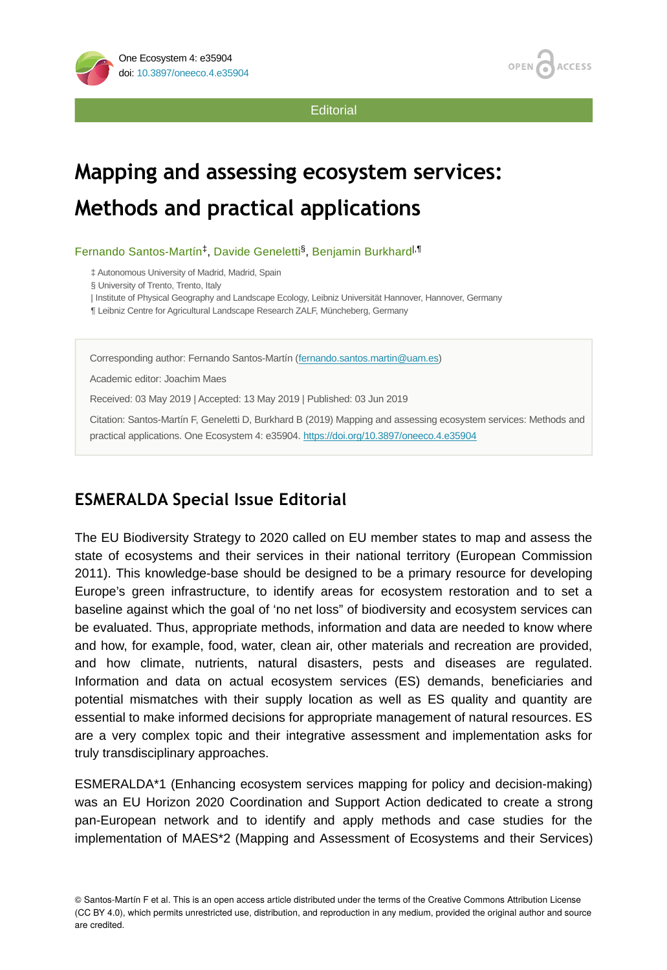

**Editorial** 

# **Mapping and assessing ecosystem services: Methods and practical applications**

Fernando Santos-Martín<sup>‡</sup>, Davide Geneletti<sup>§</sup>, Benjamin Burkhard<sup>|,¶</sup>

‡ Autonomous University of Madrid, Madrid, Spain

§ University of Trento, Trento, Italy

| Institute of Physical Geography and Landscape Ecology, Leibniz Universität Hannover, Hannover, Germany

¶ Leibniz Centre for Agricultural Landscape Research ZALF, Müncheberg, Germany

Corresponding author: Fernando Santos-Martín [\(fernando.santos.martin@uam.es](mailto:fernando.santos.martin@uam.es))

Academic editor: Joachim Maes

Received: 03 May 2019 | Accepted: 13 May 2019 | Published: 03 Jun 2019

Citation: Santos-Martín F, Geneletti D, Burkhard B (2019) Mapping and assessing ecosystem services: Methods and practical applications. One Ecosystem 4: e35904. <https://doi.org/10.3897/oneeco.4.e35904>

## **ESMERALDA Special Issue Editorial**

The EU Biodiversity Strategy to 2020 called on EU member states to map and assess the state of ecosystems and their services in their national territory (European Commission 2011). This knowledge-base should be designed to be a primary resource for developing Europe's green infrastructure, to identify areas for ecosystem restoration and to set a baseline against which the goal of 'no net loss" of biodiversity and ecosystem services can be evaluated. Thus, appropriate methods, information and data are needed to know where and how, for example, food, water, clean air, other materials and recreation are provided, and how climate, nutrients, natural disasters, pests and diseases are regulated. Information and data on actual ecosystem services (ES) demands, beneficiaries and potential mismatches with their supply location as well as ES quality and quantity are essential to make informed decisions for appropriate management of natural resources. ES are a very complex topic and their integrative assessment and implementation asks for truly transdisciplinary approaches.

ESMERALDA\*1 (Enhancing ecosystem services mapping for policy and decision-making) was an EU Horizon 2020 Coordination and Support Action dedicated to create a strong pan-European network and to identify and apply methods and case studies for the implementation of MAES\*2 (Mapping and Assessment of Ecosystems and their Services)

© Santos-Martín F et al. This is an open access article distributed under the terms of the Creative Commons Attribution License (CC BY 4.0), which permits unrestricted use, distribution, and reproduction in any medium, provided the original author and source are credited.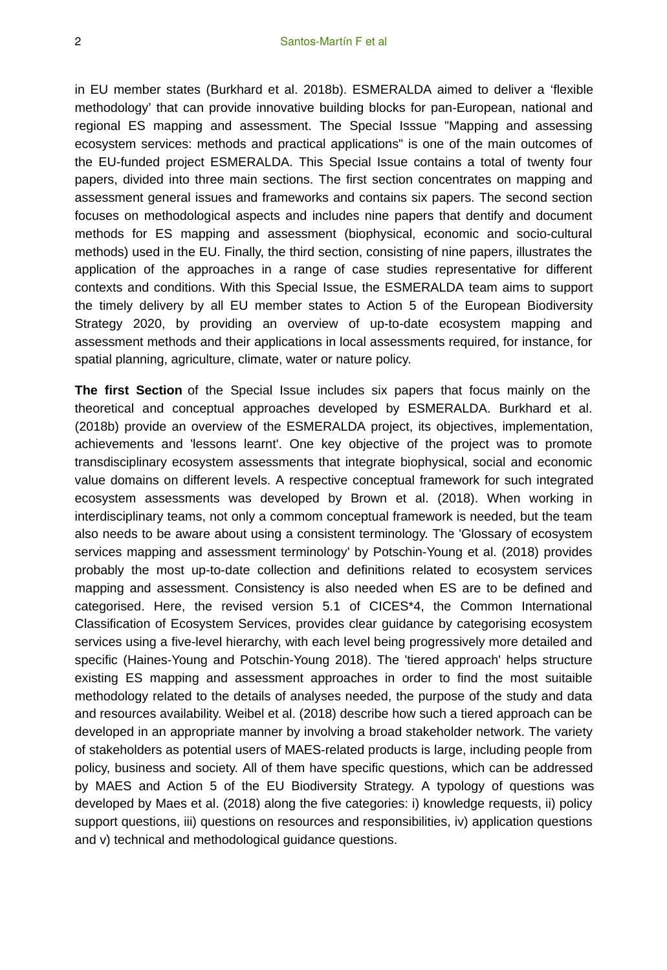in EU member states (Burkhard et al. 2018b). ESMERALDA aimed to deliver a 'flexible methodology' that can provide innovative building blocks for pan-European, national and regional ES mapping and assessment. The Special Isssue "Mapping and assessing ecosystem services: methods and practical applications" is one of the main outcomes of the EU-funded project ESMERALDA. This Special Issue contains a total of twenty four papers, divided into three main sections. The first section concentrates on mapping and assessment general issues and frameworks and contains six papers. The second section focuses on methodological aspects and includes nine papers that dentify and document methods for ES mapping and assessment (biophysical, economic and socio-cultural methods) used in the EU. Finally, the third section, consisting of nine papers, illustrates the application of the approaches in a range of case studies representative for different contexts and conditions. With this Special Issue, the ESMERALDA team aims to support the timely delivery by all EU member states to Action 5 of the European Biodiversity Strategy 2020, by providing an overview of up-to-date ecosystem mapping and assessment methods and their applications in local assessments required, for instance, for spatial planning, agriculture, climate, water or nature policy.

**The first Section** of the Special Issue includes six papers that focus mainly on the theoretical and conceptual approaches developed by ESMERALDA. Burkhard et al. (2018b) provide an overview of the ESMERALDA project, its objectives, implementation, achievements and 'lessons learnt'. One key objective of the project was to promote transdisciplinary ecosystem assessments that integrate biophysical, social and economic value domains on different levels. A respective conceptual framework for such integrated ecosystem assessments was developed by Brown et al. (2018). When working in interdisciplinary teams, not only a commom conceptual framework is needed, but the team also needs to be aware about using a consistent terminology. The 'Glossary of ecosystem services mapping and assessment terminology' by Potschin-Young et al. (2018) provides probably the most up-to-date collection and definitions related to ecosystem services mapping and assessment. Consistency is also needed when ES are to be defined and categorised. Here, the revised version 5.1 of CICES\*4, the Common International Classification of Ecosystem Services, provides clear guidance by categorising ecosystem services using a five-level hierarchy, with each level being progressively more detailed and specific (Haines-Young and Potschin-Young 2018). The 'tiered approach' helps structure existing ES mapping and assessment approaches in order to find the most suitaible methodology related to the details of analyses needed, the purpose of the study and data and resources availability. Weibel et al. (2018) describe how such a tiered approach can be developed in an appropriate manner by involving a broad stakeholder network. The variety of stakeholders as potential users of MAES-related products is large, including people from policy, business and society. All of them have specific questions, which can be addressed by MAES and Action 5 of the EU Biodiversity Strategy. A typology of questions was developed by Maes et al. (2018) along the five categories: i) knowledge requests, ii) policy support questions, iii) questions on resources and responsibilities, iv) application questions and v) technical and methodological guidance questions.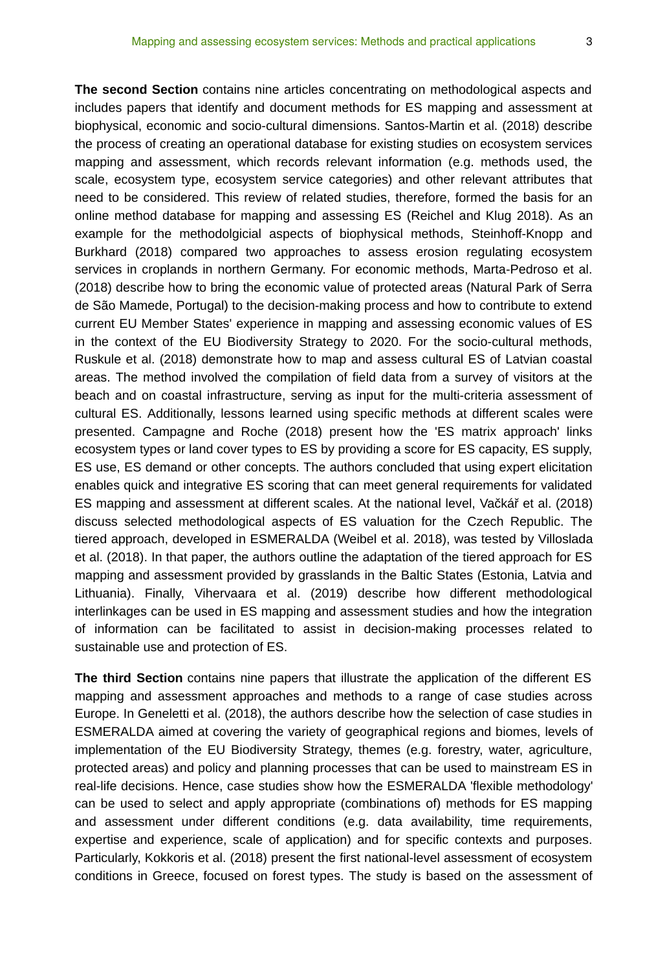**The second Section** contains nine articles concentrating on methodological aspects and includes papers that identify and document methods for ES mapping and assessment at biophysical, economic and socio-cultural dimensions. Santos-Martin et al. (2018) describe the process of creating an operational database for existing studies on ecosystem services mapping and assessment, which records relevant information (e.g. methods used, the scale, ecosystem type, ecosystem service categories) and other relevant attributes that need to be considered. This review of related studies, therefore, formed the basis for an online method database for mapping and assessing ES (Reichel and Klug 2018). As an example for the methodolgicial aspects of biophysical methods, Steinhoff-Knopp and Burkhard (2018) compared two approaches to assess erosion regulating ecosystem services in croplands in northern Germany. For economic methods, Marta-Pedroso et al. (2018) describe how to bring the economic value of protected areas (Natural Park of Serra de São Mamede, Portugal) to the decision-making process and how to contribute to extend current EU Member States' experience in mapping and assessing economic values of ES in the context of the EU Biodiversity Strategy to 2020. For the socio-cultural methods, Ruskule et al. (2018) demonstrate how to map and assess cultural ES of Latvian coastal areas. The method involved the compilation of field data from a survey of visitors at the beach and on coastal infrastructure, serving as input for the multi-criteria assessment of cultural ES. Additionally, lessons learned using specific methods at different scales were presented. Campagne and Roche (2018) present how the 'ES matrix approach' links ecosystem types or land cover types to ES by providing a score for ES capacity, ES supply, ES use, ES demand or other concepts. The authors concluded that using expert elicitation enables quick and integrative ES scoring that can meet general requirements for validated ES mapping and assessment at different scales. At the national level, Vačkář et al. (2018) discuss selected methodological aspects of ES valuation for the Czech Republic. The tiered approach, developed in ESMERALDA (Weibel et al. 2018), was tested by Villoslada et al. (2018). In that paper, the authors outline the adaptation of the tiered approach for ES mapping and assessment provided by grasslands in the Baltic States (Estonia, Latvia and Lithuania). Finally, Vihervaara et al. (2019) describe how different methodological interlinkages can be used in ES mapping and assessment studies and how the integration of information can be facilitated to assist in decision-making processes related to sustainable use and protection of ES.

**The third Section** contains nine papers that illustrate the application of the different ES mapping and assessment approaches and methods to a range of case studies across Europe. In Geneletti et al. (2018), the authors describe how the selection of case studies in ESMERALDA aimed at covering the variety of geographical regions and biomes, levels of implementation of the EU Biodiversity Strategy, themes (e.g. forestry, water, agriculture, protected areas) and policy and planning processes that can be used to mainstream ES in real-life decisions. Hence, case studies show how the ESMERALDA 'flexible methodology' can be used to select and apply appropriate (combinations of) methods for ES mapping and assessment under different conditions (e.g. data availability, time requirements, expertise and experience, scale of application) and for specific contexts and purposes. Particularly, Kokkoris et al. (2018) present the first national-level assessment of ecosystem conditions in Greece, focused on forest types. The study is based on the assessment of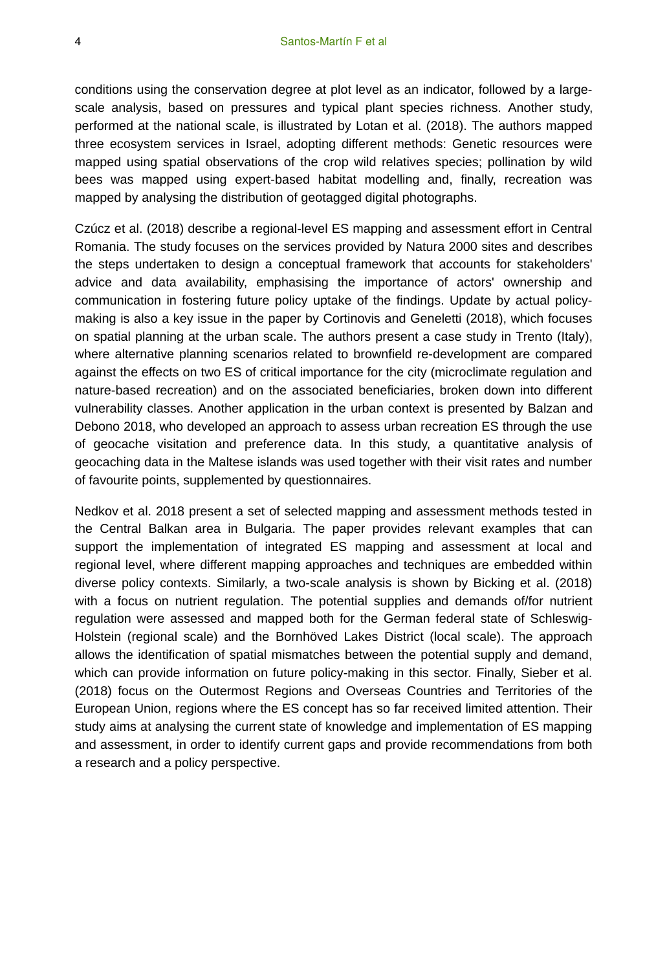conditions using the conservation degree at plot level as an indicator, followed by a largescale analysis, based on pressures and typical plant species richness. Another study, performed at the national scale, is illustrated by Lotan et al. (2018). The authors mapped three ecosystem services in Israel, adopting different methods: Genetic resources were mapped using spatial observations of the crop wild relatives species; pollination by wild bees was mapped using expert-based habitat modelling and, finally, recreation was mapped by analysing the distribution of geotagged digital photographs.

Czúcz et al. (2018) describe a regional-level ES mapping and assessment effort in Central Romania. The study focuses on the services provided by Natura 2000 sites and describes the steps undertaken to design a conceptual framework that accounts for stakeholders' advice and data availability, emphasising the importance of actors' ownership and communication in fostering future policy uptake of the findings. Update by actual policymaking is also a key issue in the paper by Cortinovis and Geneletti (2018), which focuses on spatial planning at the urban scale. The authors present a case study in Trento (Italy), where alternative planning scenarios related to brownfield re-development are compared against the effects on two ES of critical importance for the city (microclimate regulation and nature-based recreation) and on the associated beneficiaries, broken down into different vulnerability classes. Another application in the urban context is presented by Balzan and Debono 2018, who developed an approach to assess urban recreation ES through the use of geocache visitation and preference data. In this study, a quantitative analysis of geocaching data in the Maltese islands was used together with their visit rates and number of favourite points, supplemented by questionnaires.

Nedkov et al. 2018 present a set of selected mapping and assessment methods tested in the Central Balkan area in Bulgaria. The paper provides relevant examples that can support the implementation of integrated ES mapping and assessment at local and regional level, where different mapping approaches and techniques are embedded within diverse policy contexts. Similarly, a two-scale analysis is shown by Bicking et al. (2018) with a focus on nutrient regulation. The potential supplies and demands of/for nutrient regulation were assessed and mapped both for the German federal state of Schleswig-Holstein (regional scale) and the Bornhöved Lakes District (local scale). The approach allows the identification of spatial mismatches between the potential supply and demand, which can provide information on future policy-making in this sector. Finally, Sieber et al. (2018) focus on the Outermost Regions and Overseas Countries and Territories of the European Union, regions where the ES concept has so far received limited attention. Their study aims at analysing the current state of knowledge and implementation of ES mapping and assessment, in order to identify current gaps and provide recommendations from both a research and a policy perspective.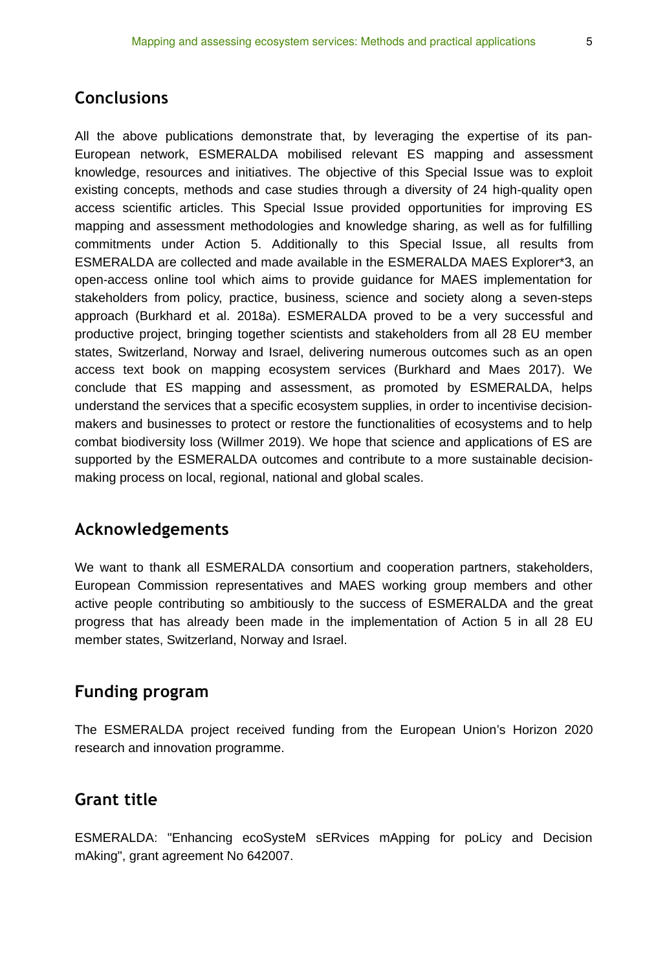#### **Conclusions**

All the above publications demonstrate that, by leveraging the expertise of its pan-European network, ESMERALDA mobilised relevant ES mapping and assessment knowledge, resources and initiatives. The objective of this Special Issue was to exploit existing concepts, methods and case studies through a diversity of 24 high-quality open access scientific articles. This Special Issue provided opportunities for improving ES mapping and assessment methodologies and knowledge sharing, as well as for fulfilling commitments under Action 5. Additionally to this Special Issue, all results from ESMERALDA are collected and made available in the ESMERALDA MAES Explorer\*3, an open-access online tool which aims to provide guidance for MAES implementation for stakeholders from policy, practice, business, science and society along a seven-steps approach (Burkhard et al. 2018a). ESMERALDA proved to be a very successful and productive project, bringing together scientists and stakeholders from all 28 EU member states, Switzerland, Norway and Israel, delivering numerous outcomes such as an open access text book on mapping ecosystem services (Burkhard and Maes 2017). We conclude that ES mapping and assessment, as promoted by ESMERALDA, helps understand the services that a specific ecosystem supplies, in order to incentivise decisionmakers and businesses to protect or restore the functionalities of ecosystems and to help combat biodiversity loss (Willmer 2019). We hope that science and applications of ES are supported by the ESMERALDA outcomes and contribute to a more sustainable decisionmaking process on local, regional, national and global scales.

#### **Acknowledgements**

We want to thank all ESMERALDA consortium and cooperation partners, stakeholders, European Commission representatives and MAES working group members and other active people contributing so ambitiously to the success of ESMERALDA and the great progress that has already been made in the implementation of Action 5 in all 28 EU member states, Switzerland, Norway and Israel.

## **Funding program**

The ESMERALDA project received funding from the European Union's Horizon 2020 research and innovation programme.

#### **Grant title**

ESMERALDA: "Enhancing ecoSysteM sERvices mApping for poLicy and Decision mAking", grant agreement No 642007.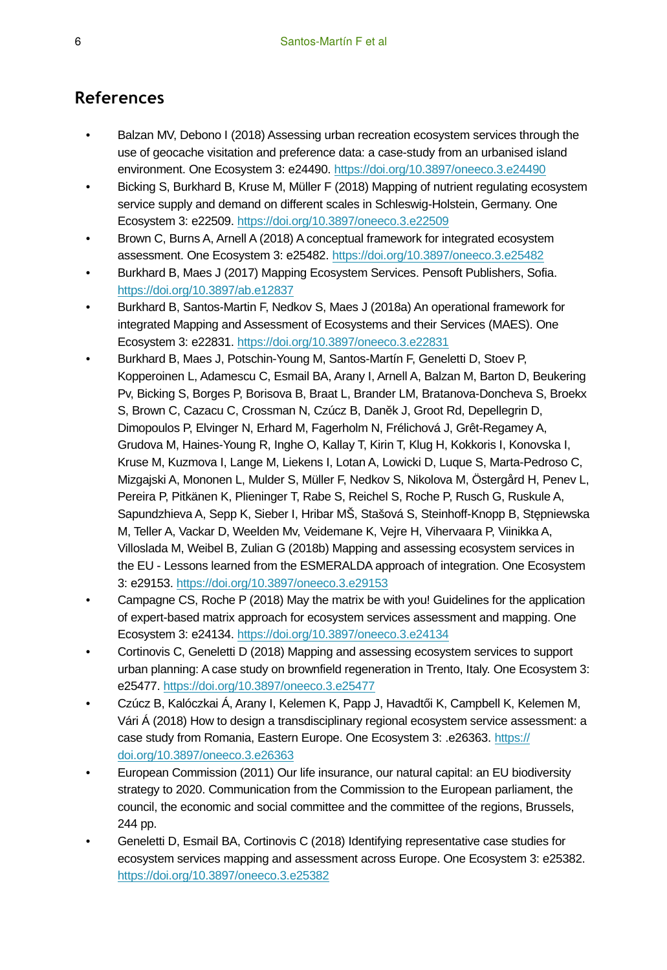## **References**

- Balzan MV, Debono I (2018) Assessing urban recreation ecosystem services through the use of geocache visitation and preference data: a case-study from an urbanised island environment. One Ecosystem 3: e24490.<https://doi.org/10.3897/oneeco.3.e24490>
- Bicking S, Burkhard B, Kruse M, Müller F (2018) Mapping of nutrient regulating ecosystem service supply and demand on different scales in Schleswig-Holstein, Germany. One Ecosystem 3: e22509.<https://doi.org/10.3897/oneeco.3.e22509>
- Brown C, Burns A, Arnell A (2018) A conceptual framework for integrated ecosystem assessment. One Ecosystem 3: e25482. <https://doi.org/10.3897/oneeco.3.e25482>
- Burkhard B, Maes J (2017) Mapping Ecosystem Services. Pensoft Publishers, Sofia. <https://doi.org/10.3897/ab.e12837>
- Burkhard B, Santos-Martin F, Nedkov S, Maes J (2018a) An operational framework for integrated Mapping and Assessment of Ecosystems and their Services (MAES). One Ecosystem 3: e22831.<https://doi.org/10.3897/oneeco.3.e22831>
- Burkhard B, Maes J, Potschin-Young M, Santos-Martín F, Geneletti D, Stoev P, Kopperoinen L, Adamescu C, Esmail BA, Arany I, Arnell A, Balzan M, Barton D, Beukering Pv, Bicking S, Borges P, Borisova B, Braat L, Brander LM, Bratanova-Doncheva S, Broekx S, Brown C, Cazacu C, Crossman N, Czúcz B, Daněk J, Groot Rd, Depellegrin D, Dimopoulos P, Elvinger N, Erhard M, Fagerholm N, Frélichová J, Grêt-Regamey A, Grudova M, Haines-Young R, Inghe O, Kallay T, Kirin T, Klug H, Kokkoris I, Konovska I, Kruse M, Kuzmova I, Lange M, Liekens I, Lotan A, Lowicki D, Luque S, Marta-Pedroso C, Mizgajski A, Mononen L, Mulder S, Müller F, Nedkov S, Nikolova M, Östergård H, Penev L, Pereira P, Pitkänen K, Plieninger T, Rabe S, Reichel S, Roche P, Rusch G, Ruskule A, Sapundzhieva A, Sepp K, Sieber I, Hribar MŠ, Stašová S, Steinhoff-Knopp B, Stępniewska M, Teller A, Vackar D, Weelden Mv, Veidemane K, Vejre H, Vihervaara P, Viinikka A, Villoslada M, Weibel B, Zulian G (2018b) Mapping and assessing ecosystem services in the EU - Lessons learned from the ESMERALDA approach of integration. One Ecosystem 3: e29153. <https://doi.org/10.3897/oneeco.3.e29153>
- Campagne CS, Roche P (2018) May the matrix be with you! Guidelines for the application of expert-based matrix approach for ecosystem services assessment and mapping. One Ecosystem 3: e24134.<https://doi.org/10.3897/oneeco.3.e24134>
- Cortinovis C, Geneletti D (2018) Mapping and assessing ecosystem services to support urban planning: A case study on brownfield regeneration in Trento, Italy. One Ecosystem 3: e25477. <https://doi.org/10.3897/oneeco.3.e25477>
- Czúcz B, Kalóczkai Á, Arany I, Kelemen K, Papp J, Havadtői K, Campbell K, Kelemen M, Vári Á (2018) How to design a transdisciplinary regional ecosystem service assessment: a case study from Romania, Eastern Europe. One Ecosystem 3: .e26363. [https://](https://doi.org/10.3897/oneeco.3.e26363) [doi.org/10.3897/oneeco.3.e26363](https://doi.org/10.3897/oneeco.3.e26363)
- European Commission (2011) Our life insurance, our natural capital: an EU biodiversity strategy to 2020. Communication from the Commission to the European parliament, the council, the economic and social committee and the committee of the regions, Brussels, 244 pp.
- Geneletti D, Esmail BA, Cortinovis C (2018) Identifying representative case studies for ecosystem services mapping and assessment across Europe. One Ecosystem 3: e25382. <https://doi.org/10.3897/oneeco.3.e25382>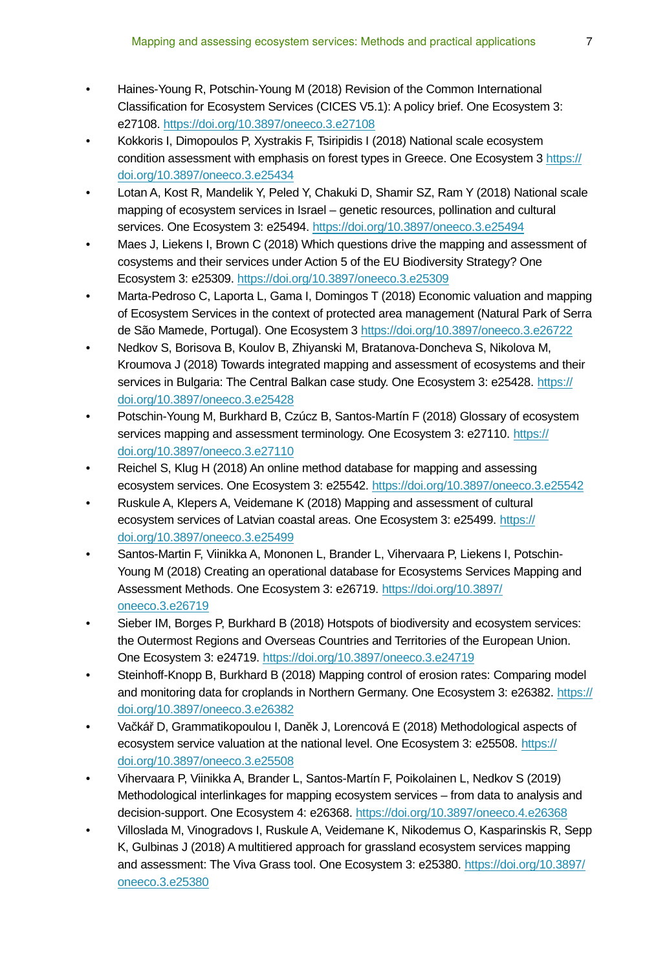- Haines-Young R, Potschin-Young M (2018) Revision of the Common International Classification for Ecosystem Services (CICES V5.1): A policy brief. One Ecosystem 3: e27108. <https://doi.org/10.3897/oneeco.3.e27108>
- Kokkoris I, Dimopoulos P, Xystrakis F, Tsiripidis I (2018) National scale ecosystem condition assessment with emphasis on forest types in Greece. One Ecosystem 3 [https://](https://doi.org/10.3897/oneeco.3.e25434) [doi.org/10.3897/oneeco.3.e25434](https://doi.org/10.3897/oneeco.3.e25434)
- Lotan A, Kost R, Mandelik Y, Peled Y, Chakuki D, Shamir SZ, Ram Y (2018) National scale mapping of ecosystem services in Israel – genetic resources, pollination and cultural services. One Ecosystem 3: e25494.<https://doi.org/10.3897/oneeco.3.e25494>
- Maes J, Liekens I, Brown C (2018) Which questions drive the mapping and assessment of cosystems and their services under Action 5 of the EU Biodiversity Strategy? One Ecosystem 3: e25309.<https://doi.org/10.3897/oneeco.3.e25309>
- Marta-Pedroso C, Laporta L, Gama I, Domingos T (2018) Economic valuation and mapping of Ecosystem Services in the context of protected area management (Natural Park of Serra de São Mamede, Portugal). One Ecosystem 3 <https://doi.org/10.3897/oneeco.3.e26722>
- Nedkov S, Borisova B, Koulov B, Zhiyanski M, Bratanova-Doncheva S, Nikolova M, Kroumova J (2018) Towards integrated mapping and assessment of ecosystems and their services in Bulgaria: The Central Balkan case study. One Ecosystem 3: e25428. [https://](https://doi.org/10.3897/oneeco.3.e25428) [doi.org/10.3897/oneeco.3.e25428](https://doi.org/10.3897/oneeco.3.e25428)
- Potschin-Young M, Burkhard B, Czúcz B, Santos-Martín F (2018) Glossary of ecosystem services mapping and assessment terminology. One Ecosystem 3: e27110. [https://](https://doi.org/10.3897/oneeco.3.e27110) [doi.org/10.3897/oneeco.3.e27110](https://doi.org/10.3897/oneeco.3.e27110)
- Reichel S, Klug H (2018) An online method database for mapping and assessing ecosystem services. One Ecosystem 3: e25542. <https://doi.org/10.3897/oneeco.3.e25542>
- Ruskule A, Klepers A, Veidemane K (2018) Mapping and assessment of cultural ecosystem services of Latvian coastal areas. One Ecosystem 3: e25499. [https://](https://doi.org/10.3897/oneeco.3.e25499) [doi.org/10.3897/oneeco.3.e25499](https://doi.org/10.3897/oneeco.3.e25499)
- Santos-Martin F, Viinikka A, Mononen L, Brander L, Vihervaara P, Liekens I, Potschin-Young M (2018) Creating an operational database for Ecosystems Services Mapping and Assessment Methods. One Ecosystem 3: e26719. [https://doi.org/10.3897/](https://doi.org/10.3897/oneeco.3.e26719) [oneeco.3.e26719](https://doi.org/10.3897/oneeco.3.e26719)
- Sieber IM, Borges P, Burkhard B (2018) Hotspots of biodiversity and ecosystem services: the Outermost Regions and Overseas Countries and Territories of the European Union. One Ecosystem 3: e24719.<https://doi.org/10.3897/oneeco.3.e24719>
- Steinhoff-Knopp B, Burkhard B (2018) Mapping control of erosion rates: Comparing model and monitoring data for croplands in Northern Germany. One Ecosystem 3: e26382. [https://](https://doi.org/10.3897/oneeco.3.e26382) [doi.org/10.3897/oneeco.3.e26382](https://doi.org/10.3897/oneeco.3.e26382)
- Vačkář D, Grammatikopoulou I, Daněk J, Lorencová E (2018) Methodological aspects of ecosystem service valuation at the national level. One Ecosystem 3: e25508. [https://](https://doi.org/10.3897/oneeco.3.e25508) [doi.org/10.3897/oneeco.3.e25508](https://doi.org/10.3897/oneeco.3.e25508)
- Vihervaara P, Viinikka A, Brander L, Santos-Martín F, Poikolainen L, Nedkov S (2019) Methodological interlinkages for mapping ecosystem services – from data to analysis and decision-support. One Ecosystem 4: e26368.<https://doi.org/10.3897/oneeco.4.e26368>
- Villoslada M, Vinogradovs I, Ruskule A, Veidemane K, Nikodemus O, Kasparinskis R, Sepp K, Gulbinas J (2018) A multitiered approach for grassland ecosystem services mapping and assessment: The Viva Grass tool. One Ecosystem 3: e25380. [https://doi.org/10.3897/](https://doi.org/10.3897/oneeco.3.e25380) [oneeco.3.e25380](https://doi.org/10.3897/oneeco.3.e25380)